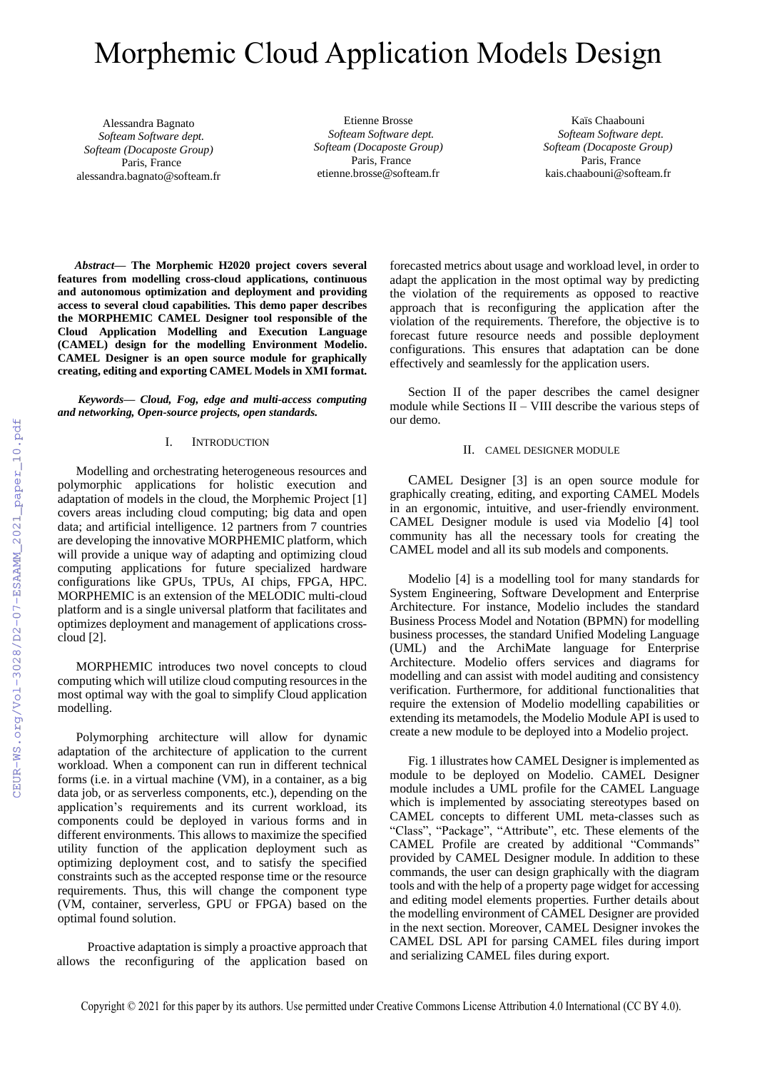# Morphemic Cloud Application Models Design

Alessandra Bagnato  *Softeam Software dept. Softeam (Docaposte Group)*  Paris, France alessandra.bagnato@softeam.fr

Etienne Brosse  *Softeam Software dept. Softeam (Docaposte Group)*  Paris, France etienne.brosse@softeam.fr

Kaïs Chaabouni  *Softeam Software dept. Softeam (Docaposte Group)*  Paris, France kais.chaabouni@softeam.fr

*Abstract***— The Morphemic H2020 project covers several features from modelling cross-cloud applications, continuous and autonomous optimization and deployment and providing access to several cloud capabilities. This demo paper describes the MORPHEMIC CAMEL Designer tool responsible of the Cloud Application Modelling and Execution Language (CAMEL) design for the modelling Environment Modelio. CAMEL Designer is an open source module for graphically creating, editing and exporting CAMEL Models in XMI format.**

## *Keywords— Cloud, Fog, edge and multi-access computing and networking, Open-source projects, open standards.*

## I. INTRODUCTION

Modelling and orchestrating heterogeneous resources and polymorphic applications for holistic execution and adaptation of models in the cloud, the Morphemic Project [1] covers areas including cloud computing; big data and open data; and artificial intelligence. 12 partners from 7 countries are developing the innovative MORPHEMIC platform, which will provide a unique way of adapting and optimizing cloud computing applications for future specialized hardware configurations like GPUs, TPUs, AI chips, FPGA, HPC. MORPHEMIC is an extension of the MELODIC multi-cloud platform and is a single universal platform that facilitates and optimizes deployment and management of applications crosscloud [2].

MORPHEMIC introduces two novel concepts to cloud computing which will utilize cloud computing resources in the most optimal way with the goal to simplify Cloud application modelling.

Polymorphing architecture will allow for dynamic adaptation of the architecture of application to the current workload. When a component can run in different technical forms (i.e. in a virtual machine (VM), in a container, as a big data job, or as serverless components, etc.), depending on the application's requirements and its current workload, its components could be deployed in various forms and in different environments. This allows to maximize the specified utility function of the application deployment such as optimizing deployment cost, and to satisfy the specified constraints such as the accepted response time or the resource requirements. Thus, this will change the component type (VM, container, serverless, GPU or FPGA) based on the optimal found solution.

Proactive adaptation is simply a proactive approach that allows the reconfiguring of the application based on forecasted metrics about usage and workload level, in order to adapt the application in the most optimal way by predicting the violation of the requirements as opposed to reactive approach that is reconfiguring the application after the violation of the requirements. Therefore, the objective is to forecast future resource needs and possible deployment configurations. This ensures that adaptation can be done effectively and seamlessly for the application users.

Section II of the paper describes the camel designer module while Sections II – VIII describe the various steps of our demo.

# II. CAMEL DESIGNER MODULE

CAMEL Designer [3] is an open source module for graphically creating, editing, and exporting CAMEL Models in an ergonomic, intuitive, and user-friendly environment. CAMEL Designer module is used via Modelio [4] tool community has all the necessary tools for creating the CAMEL model and all its sub models and components.

Modelio [4] is a modelling tool for many standards for System Engineering, Software Development and Enterprise Architecture. For instance, Modelio includes the standard Business Process Model and Notation (BPMN) for modelling business processes, the standard Unified Modeling Language (UML) and the ArchiMate language for Enterprise Architecture. Modelio offers services and diagrams for modelling and can assist with model auditing and consistency verification. Furthermore, for additional functionalities that require the extension of Modelio modelling capabilities or extending its metamodels, the Modelio Module API is used to create a new module to be deployed into a Modelio project.

Fig. 1 illustrates how CAMEL Designer is implemented as module to be deployed on Modelio. CAMEL Designer module includes a UML profile for the CAMEL Language which is implemented by associating stereotypes based on CAMEL concepts to different UML meta-classes such as "Class", "Package", "Attribute", etc. These elements of the CAMEL Profile are created by additional "Commands" provided by CAMEL Designer module. In addition to these commands, the user can design graphically with the diagram tools and with the help of a property page widget for accessing and editing model elements properties. Further details about the modelling environment of CAMEL Designer are provided in the next section. Moreover, CAMEL Designer invokes the CAMEL DSL API for parsing CAMEL files during import and serializing CAMEL files during export.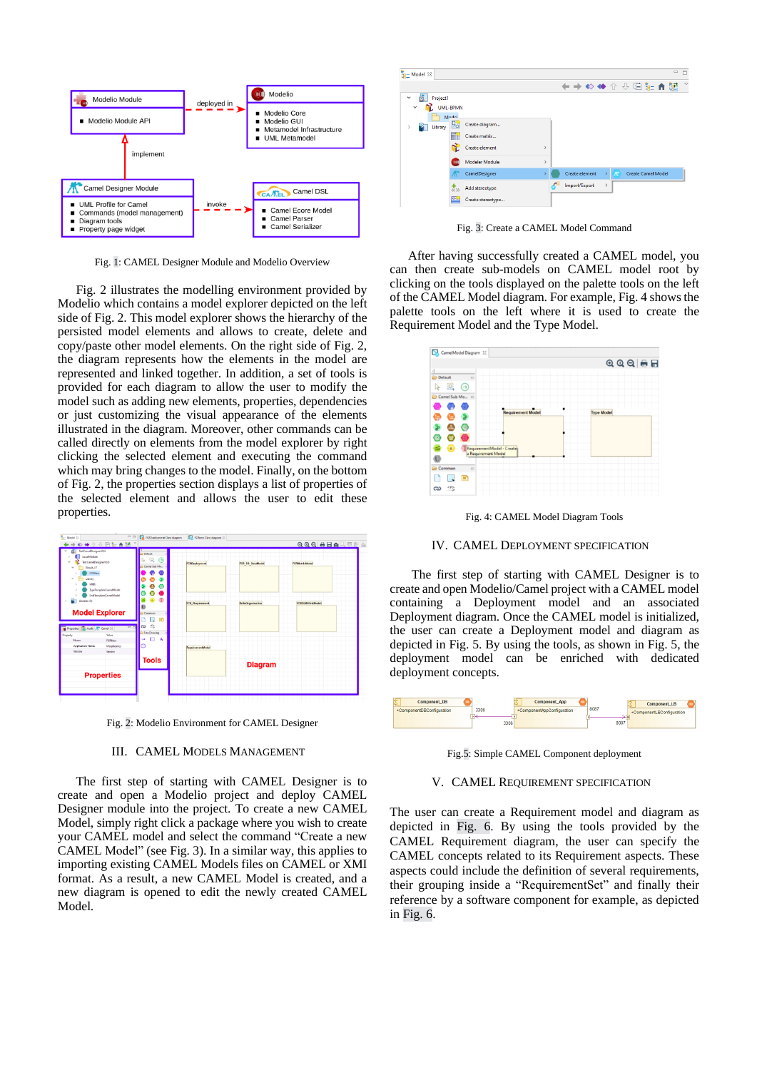

Fig. 1: CAMEL Designer Module and Modelio Overview

Fig. 2 illustrates the modelling environment provided by Modelio which contains a model explorer depicted on the left side of Fig. 2. This model explorer shows the hierarchy of the persisted model elements and allows to create, delete and copy/paste other model elements. On the right side of Fig. 2, the diagram represents how the elements in the model are represented and linked together. In addition, a set of tools is provided for each diagram to allow the user to modify the model such as adding new elements, properties, dependencies or just customizing the visual appearance of the elements illustrated in the diagram. Moreover, other commands can be called directly on elements from the model explorer by right clicking the selected element and executing the command which may bring changes to the model. Finally, on the bottom of Fig. 2, the properties section displays a list of properties of the selected element and allows the user to edit these properties.



Fig. 2: Modelio Environment for CAMEL Designer

#### III. CAMEL MODELS MANAGEMENT

The first step of starting with CAMEL Designer is to create and open a Modelio project and deploy CAMEL Designer module into the project. To create a new CAMEL Model, simply right click a package where you wish to create your CAMEL model and select the command "Create a new CAMEL Model" (see Fig. 3). In a similar way, this applies to importing existing CAMEL Models files on CAMEL or XMI format. As a result, a new CAMEL Model is created, and a new diagram is opened to edit the newly created CAMEL Model.



Fig. 3: Create a CAMEL Model Command

After having successfully created a CAMEL model, you can then create sub-models on CAMEL model root by clicking on the tools displayed on the palette tools on the left of the CAMEL Model diagram. For example, Fig. 4 showsthe palette tools on the left where it is used to create the Requirement Model and the Type Model.



Fig. 4: CAMEL Model Diagram Tools

#### IV. CAMEL DEPLOYMENT SPECIFICATION

The first step of starting with CAMEL Designer is to create and open Modelio/Camel project with a CAMEL model containing a Deployment model and an associated Deployment diagram. Once the CAMEL model is initialized, the user can create a Deployment model and diagram as depicted in Fig. 5. By using the tools, as shown in Fig. 5, the deployment model can be enriched with dedicated deployment concepts.



Fig.5: Simple CAMEL Component deployment

## V. CAMEL REQUIREMENT SPECIFICATION

The user can create a Requirement model and diagram as depicted in Fig. 6. By using the tools provided by the CAMEL Requirement diagram, the user can specify the CAMEL concepts related to its Requirement aspects. These aspects could include the definition of several requirements, their grouping inside a "RequirementSet" and finally their reference by a software component for example, as depicted in Fig. 6.